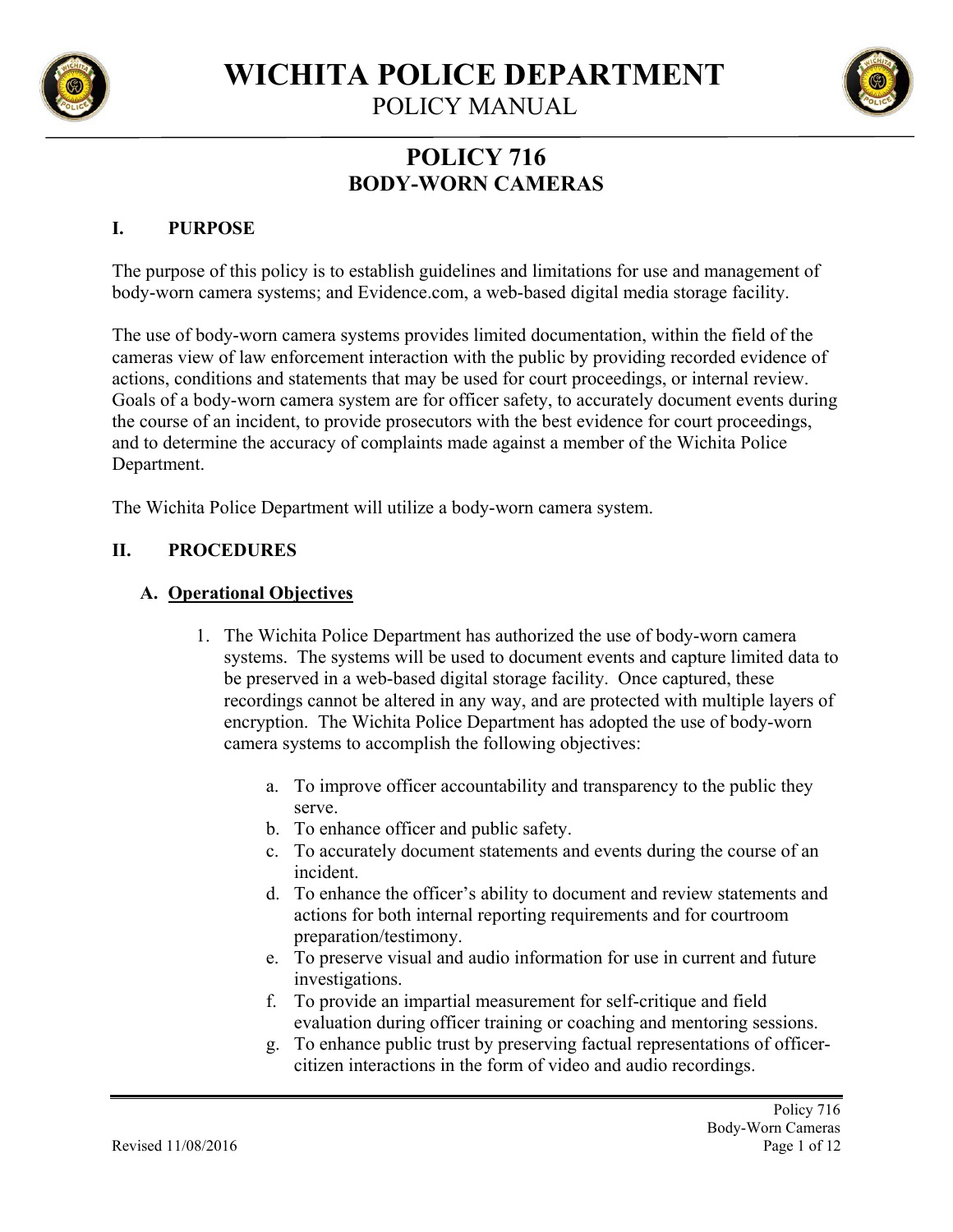

POLICY MANUAL

# **POLICY 716 BODY-WORN CAMERAS**

# **I. PURPOSE**

The purpose of this policy is to establish guidelines and limitations for use and management of body-worn camera systems; and Evidence.com, a web-based digital media storage facility.

The use of body-worn camera systems provides limited documentation, within the field of the cameras view of law enforcement interaction with the public by providing recorded evidence of actions, conditions and statements that may be used for court proceedings, or internal review. Goals of a body-worn camera system are for officer safety, to accurately document events during the course of an incident, to provide prosecutors with the best evidence for court proceedings, and to determine the accuracy of complaints made against a member of the Wichita Police Department.

The Wichita Police Department will utilize a body-worn camera system.

# **II. PROCEDURES**

# **A. Operational Objectives**

- 1. The Wichita Police Department has authorized the use of body-worn camera systems. The systems will be used to document events and capture limited data to be preserved in a web-based digital storage facility. Once captured, these recordings cannot be altered in any way, and are protected with multiple layers of encryption. The Wichita Police Department has adopted the use of body-worn camera systems to accomplish the following objectives:
	- a. To improve officer accountability and transparency to the public they serve.
	- b. To enhance officer and public safety.
	- c. To accurately document statements and events during the course of an incident.
	- d. To enhance the officer's ability to document and review statements and actions for both internal reporting requirements and for courtroom preparation/testimony.
	- e. To preserve visual and audio information for use in current and future investigations.
	- f. To provide an impartial measurement for self-critique and field evaluation during officer training or coaching and mentoring sessions.
	- g. To enhance public trust by preserving factual representations of officercitizen interactions in the form of video and audio recordings.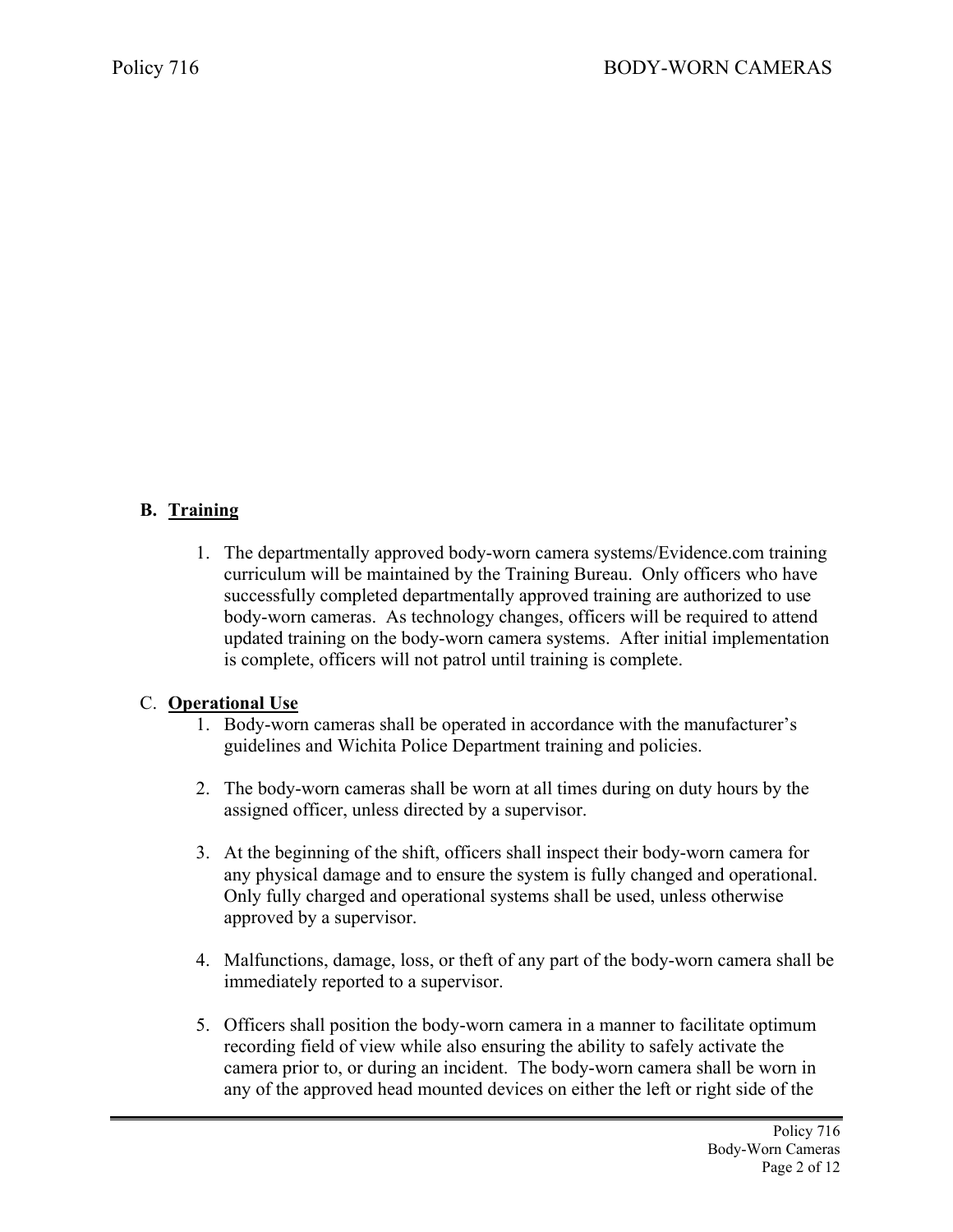# **B. Training**

1. The departmentally approved body-worn camera systems/Evidence.com training curriculum will be maintained by the Training Bureau. Only officers who have successfully completed departmentally approved training are authorized to use body-worn cameras. As technology changes, officers will be required to attend updated training on the body-worn camera systems. After initial implementation is complete, officers will not patrol until training is complete.

# C. **Operational Use**

- 1. Body-worn cameras shall be operated in accordance with the manufacturer's guidelines and Wichita Police Department training and policies.
- 2. The body-worn cameras shall be worn at all times during on duty hours by the assigned officer, unless directed by a supervisor.
- 3. At the beginning of the shift, officers shall inspect their body-worn camera for any physical damage and to ensure the system is fully changed and operational. Only fully charged and operational systems shall be used, unless otherwise approved by a supervisor.
- 4. Malfunctions, damage, loss, or theft of any part of the body-worn camera shall be immediately reported to a supervisor.
- 5. Officers shall position the body-worn camera in a manner to facilitate optimum recording field of view while also ensuring the ability to safely activate the camera prior to, or during an incident. The body-worn camera shall be worn in any of the approved head mounted devices on either the left or right side of the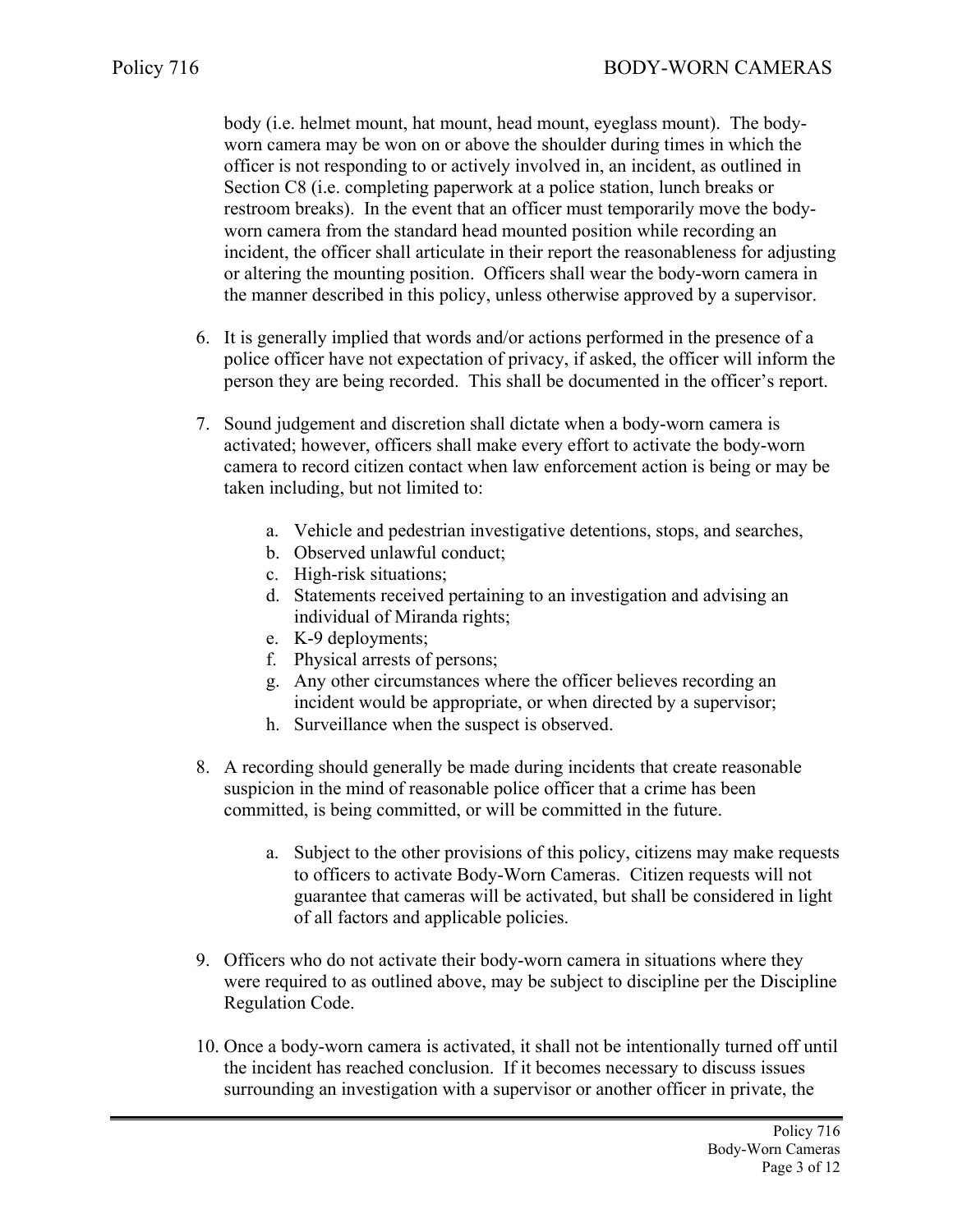body (i.e. helmet mount, hat mount, head mount, eyeglass mount). The bodyworn camera may be won on or above the shoulder during times in which the officer is not responding to or actively involved in, an incident, as outlined in Section C8 (i.e. completing paperwork at a police station, lunch breaks or restroom breaks). In the event that an officer must temporarily move the bodyworn camera from the standard head mounted position while recording an incident, the officer shall articulate in their report the reasonableness for adjusting or altering the mounting position. Officers shall wear the body-worn camera in the manner described in this policy, unless otherwise approved by a supervisor.

- 6. It is generally implied that words and/or actions performed in the presence of a police officer have not expectation of privacy, if asked, the officer will inform the person they are being recorded. This shall be documented in the officer's report.
- 7. Sound judgement and discretion shall dictate when a body-worn camera is activated; however, officers shall make every effort to activate the body-worn camera to record citizen contact when law enforcement action is being or may be taken including, but not limited to:
	- a. Vehicle and pedestrian investigative detentions, stops, and searches,
	- b. Observed unlawful conduct;
	- c. High-risk situations;
	- d. Statements received pertaining to an investigation and advising an individual of Miranda rights;
	- e. K-9 deployments;
	- f. Physical arrests of persons;
	- g. Any other circumstances where the officer believes recording an incident would be appropriate, or when directed by a supervisor;
	- h. Surveillance when the suspect is observed.
- 8. A recording should generally be made during incidents that create reasonable suspicion in the mind of reasonable police officer that a crime has been committed, is being committed, or will be committed in the future.
	- a. Subject to the other provisions of this policy, citizens may make requests to officers to activate Body-Worn Cameras. Citizen requests will not guarantee that cameras will be activated, but shall be considered in light of all factors and applicable policies.
- 9. Officers who do not activate their body-worn camera in situations where they were required to as outlined above, may be subject to discipline per the Discipline Regulation Code.
- 10. Once a body-worn camera is activated, it shall not be intentionally turned off until the incident has reached conclusion. If it becomes necessary to discuss issues surrounding an investigation with a supervisor or another officer in private, the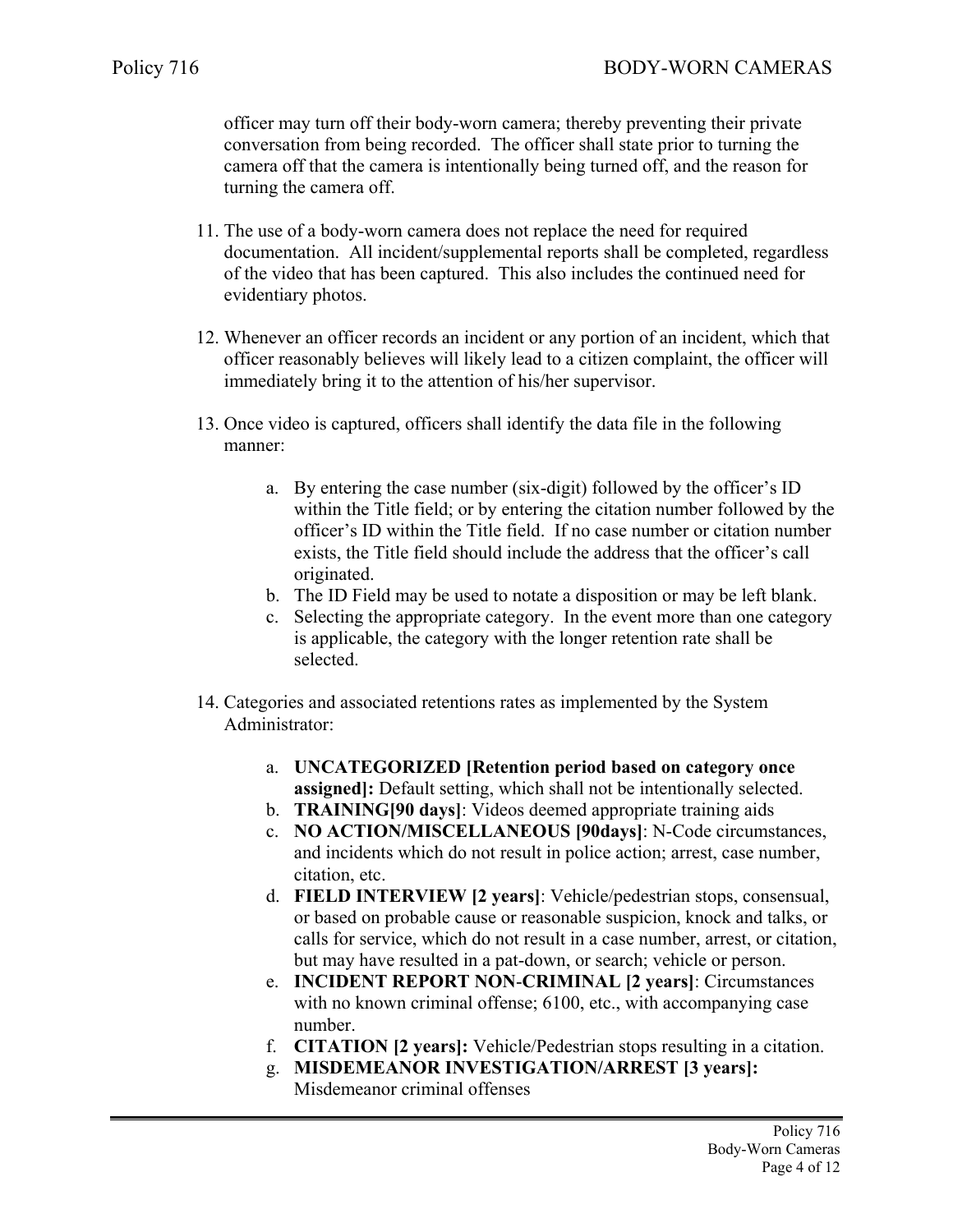officer may turn off their body-worn camera; thereby preventing their private conversation from being recorded. The officer shall state prior to turning the camera off that the camera is intentionally being turned off, and the reason for turning the camera off.

- 11. The use of a body-worn camera does not replace the need for required documentation. All incident/supplemental reports shall be completed, regardless of the video that has been captured. This also includes the continued need for evidentiary photos.
- 12. Whenever an officer records an incident or any portion of an incident, which that officer reasonably believes will likely lead to a citizen complaint, the officer will immediately bring it to the attention of his/her supervisor.
- 13. Once video is captured, officers shall identify the data file in the following manner:
	- a. By entering the case number (six-digit) followed by the officer's ID within the Title field; or by entering the citation number followed by the officer's ID within the Title field. If no case number or citation number exists, the Title field should include the address that the officer's call originated.
	- b. The ID Field may be used to notate a disposition or may be left blank.
	- c. Selecting the appropriate category. In the event more than one category is applicable, the category with the longer retention rate shall be selected.
- 14. Categories and associated retentions rates as implemented by the System Administrator:
	- a. **UNCATEGORIZED [Retention period based on category once assigned]:** Default setting, which shall not be intentionally selected.
	- b. **TRAINING[90 days]**: Videos deemed appropriate training aids
	- c. **NO ACTION/MISCELLANEOUS [90days]**: N-Code circumstances, and incidents which do not result in police action; arrest, case number, citation, etc.
	- d. **FIELD INTERVIEW [2 years]**: Vehicle/pedestrian stops, consensual, or based on probable cause or reasonable suspicion, knock and talks, or calls for service, which do not result in a case number, arrest, or citation, but may have resulted in a pat-down, or search; vehicle or person.
	- e. **INCIDENT REPORT NON**-**CRIMINAL [2 years]**: Circumstances with no known criminal offense; 6100, etc., with accompanying case number.
	- f. **CITATION [2 years]:** Vehicle/Pedestrian stops resulting in a citation.
	- g. **MISDEMEANOR INVESTIGATION/ARREST [3 years]:**
		- Misdemeanor criminal offenses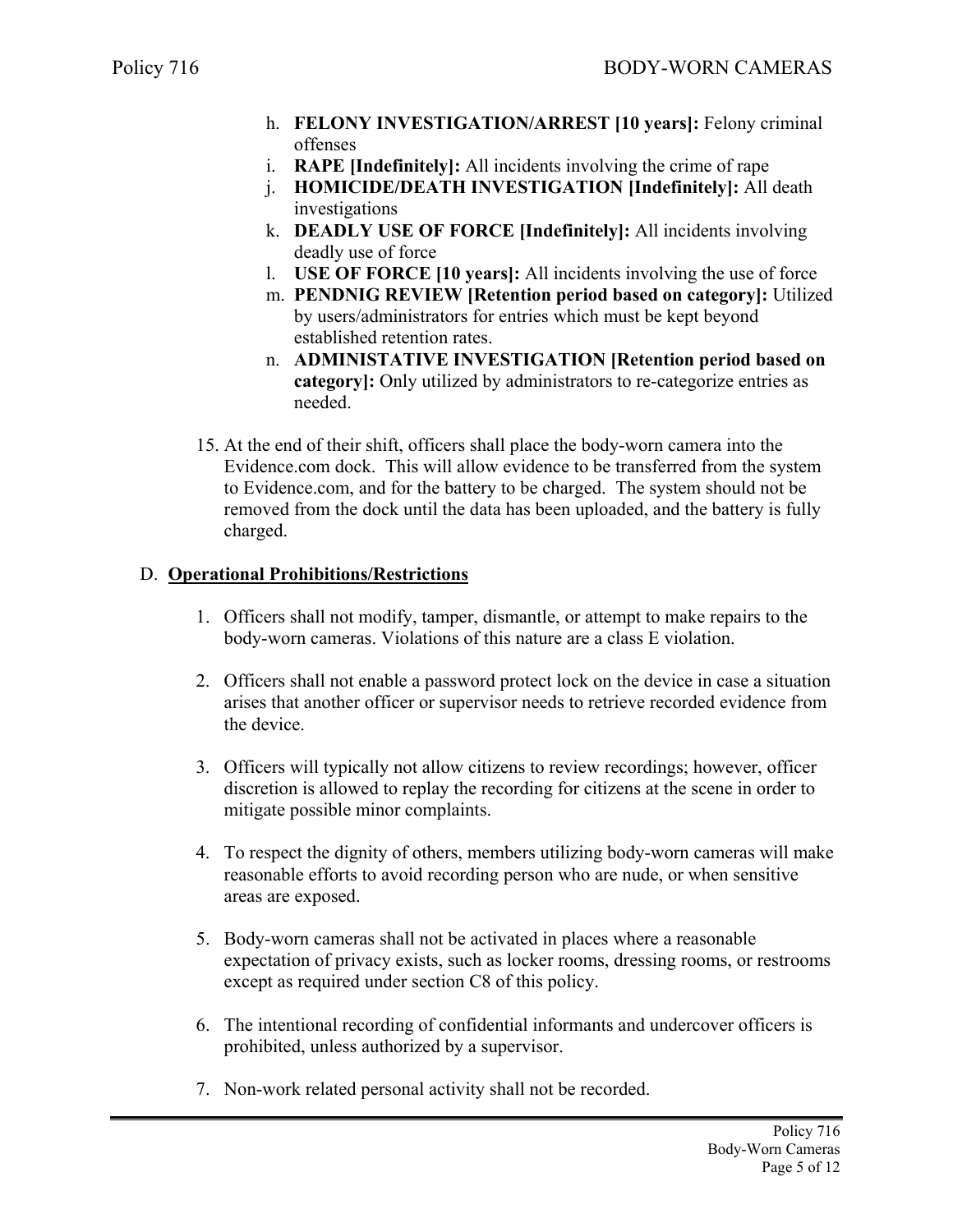- h. **FELONY INVESTIGATION/ARREST [10 years]:** Felony criminal offenses
- i. **RAPE [Indefinitely]:** All incidents involving the crime of rape
- j. **HOMICIDE/DEATH INVESTIGATION [Indefinitely]:** All death investigations
- k. **DEADLY USE OF FORCE [Indefinitely]:** All incidents involving deadly use of force
- l. **USE OF FORCE [10 years]:** All incidents involving the use of force
- m. **PENDNIG REVIEW [Retention period based on category]:** Utilized by users/administrators for entries which must be kept beyond established retention rates.
- n. **ADMINISTATIVE INVESTIGATION [Retention period based on category]:** Only utilized by administrators to re-categorize entries as needed.
- 15. At the end of their shift, officers shall place the body-worn camera into the Evidence.com dock. This will allow evidence to be transferred from the system to Evidence.com, and for the battery to be charged. The system should not be removed from the dock until the data has been uploaded, and the battery is fully charged.

### D. **Operational Prohibitions/Restrictions**

- 1. Officers shall not modify, tamper, dismantle, or attempt to make repairs to the body-worn cameras. Violations of this nature are a class E violation.
- 2. Officers shall not enable a password protect lock on the device in case a situation arises that another officer or supervisor needs to retrieve recorded evidence from the device.
- 3. Officers will typically not allow citizens to review recordings; however, officer discretion is allowed to replay the recording for citizens at the scene in order to mitigate possible minor complaints.
- 4. To respect the dignity of others, members utilizing body-worn cameras will make reasonable efforts to avoid recording person who are nude, or when sensitive areas are exposed.
- 5. Body-worn cameras shall not be activated in places where a reasonable expectation of privacy exists, such as locker rooms, dressing rooms, or restrooms except as required under section C8 of this policy.
- 6. The intentional recording of confidential informants and undercover officers is prohibited, unless authorized by a supervisor.
- 7. Non-work related personal activity shall not be recorded.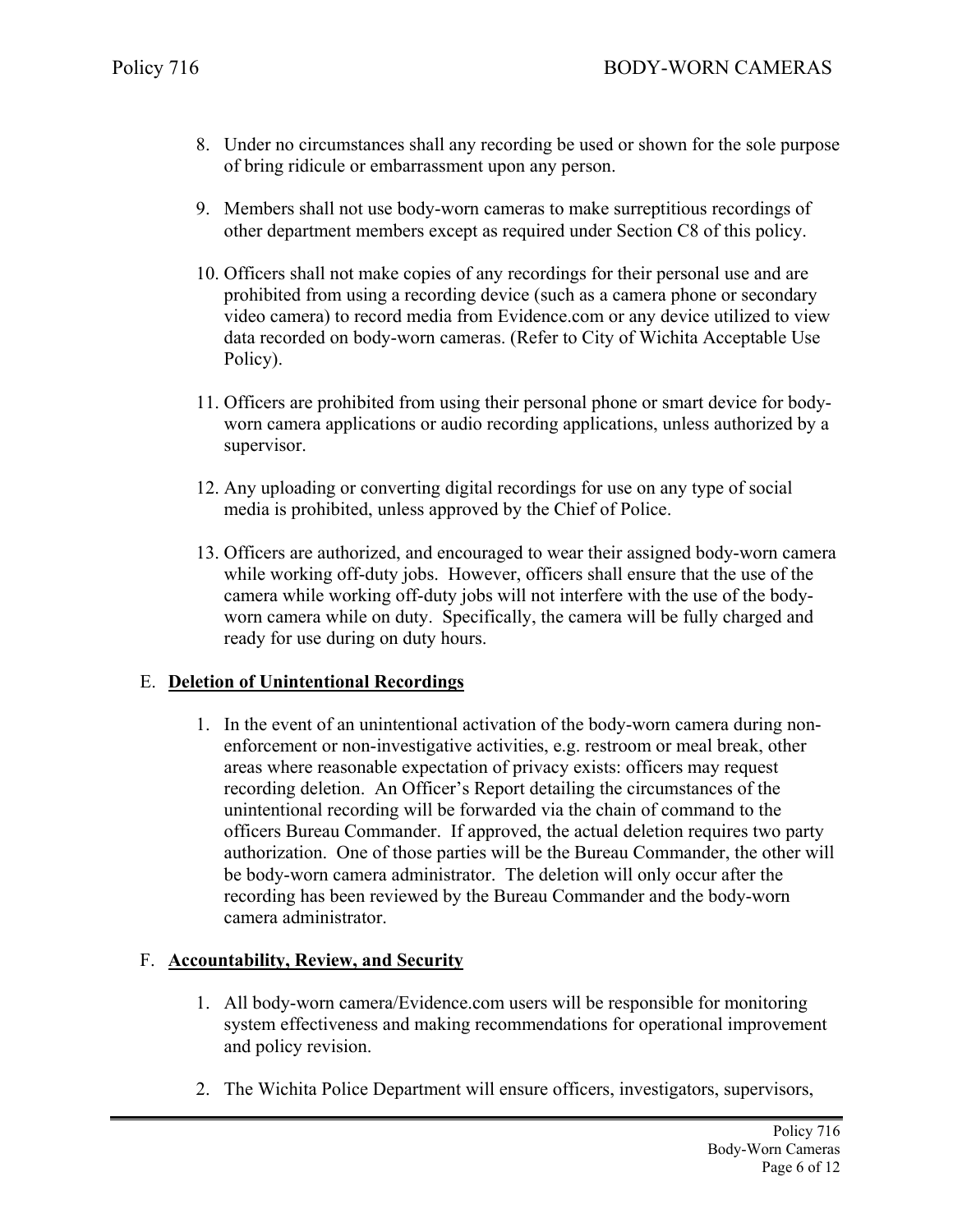- 8. Under no circumstances shall any recording be used or shown for the sole purpose of bring ridicule or embarrassment upon any person.
- 9. Members shall not use body-worn cameras to make surreptitious recordings of other department members except as required under Section C8 of this policy.
- 10. Officers shall not make copies of any recordings for their personal use and are prohibited from using a recording device (such as a camera phone or secondary video camera) to record media from Evidence.com or any device utilized to view data recorded on body-worn cameras. (Refer to City of Wichita Acceptable Use Policy).
- 11. Officers are prohibited from using their personal phone or smart device for bodyworn camera applications or audio recording applications, unless authorized by a supervisor.
- 12. Any uploading or converting digital recordings for use on any type of social media is prohibited, unless approved by the Chief of Police.
- 13. Officers are authorized, and encouraged to wear their assigned body-worn camera while working off-duty jobs. However, officers shall ensure that the use of the camera while working off-duty jobs will not interfere with the use of the bodyworn camera while on duty. Specifically, the camera will be fully charged and ready for use during on duty hours.

# E. **Deletion of Unintentional Recordings**

1. In the event of an unintentional activation of the body-worn camera during nonenforcement or non-investigative activities, e.g. restroom or meal break, other areas where reasonable expectation of privacy exists: officers may request recording deletion. An Officer's Report detailing the circumstances of the unintentional recording will be forwarded via the chain of command to the officers Bureau Commander. If approved, the actual deletion requires two party authorization. One of those parties will be the Bureau Commander, the other will be body-worn camera administrator. The deletion will only occur after the recording has been reviewed by the Bureau Commander and the body-worn camera administrator.

# F. **Accountability, Review, and Security**

- 1. All body-worn camera/Evidence.com users will be responsible for monitoring system effectiveness and making recommendations for operational improvement and policy revision.
- 2. The Wichita Police Department will ensure officers, investigators, supervisors,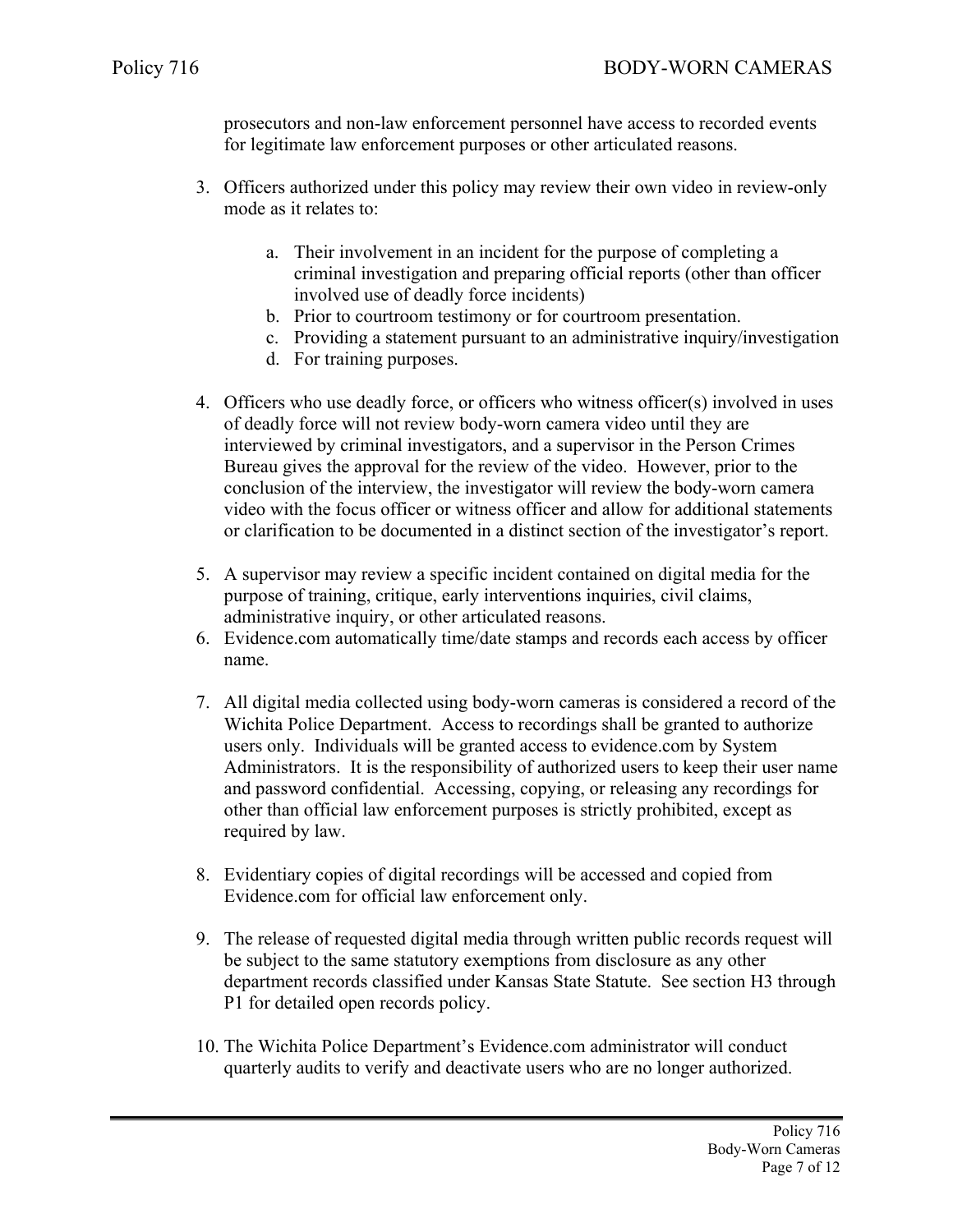prosecutors and non-law enforcement personnel have access to recorded events for legitimate law enforcement purposes or other articulated reasons.

- 3. Officers authorized under this policy may review their own video in review-only mode as it relates to:
	- a. Their involvement in an incident for the purpose of completing a criminal investigation and preparing official reports (other than officer involved use of deadly force incidents)
	- b. Prior to courtroom testimony or for courtroom presentation.
	- c. Providing a statement pursuant to an administrative inquiry/investigation
	- d. For training purposes.
- 4. Officers who use deadly force, or officers who witness officer(s) involved in uses of deadly force will not review body-worn camera video until they are interviewed by criminal investigators, and a supervisor in the Person Crimes Bureau gives the approval for the review of the video. However, prior to the conclusion of the interview, the investigator will review the body-worn camera video with the focus officer or witness officer and allow for additional statements or clarification to be documented in a distinct section of the investigator's report.
- 5. A supervisor may review a specific incident contained on digital media for the purpose of training, critique, early interventions inquiries, civil claims, administrative inquiry, or other articulated reasons.
- 6. Evidence.com automatically time/date stamps and records each access by officer name.
- 7. All digital media collected using body-worn cameras is considered a record of the Wichita Police Department. Access to recordings shall be granted to authorize users only. Individuals will be granted access to evidence.com by System Administrators. It is the responsibility of authorized users to keep their user name and password confidential. Accessing, copying, or releasing any recordings for other than official law enforcement purposes is strictly prohibited, except as required by law.
- 8. Evidentiary copies of digital recordings will be accessed and copied from Evidence.com for official law enforcement only.
- 9. The release of requested digital media through written public records request will be subject to the same statutory exemptions from disclosure as any other department records classified under Kansas State Statute. See section H3 through P1 for detailed open records policy.
- 10. The Wichita Police Department's Evidence.com administrator will conduct quarterly audits to verify and deactivate users who are no longer authorized.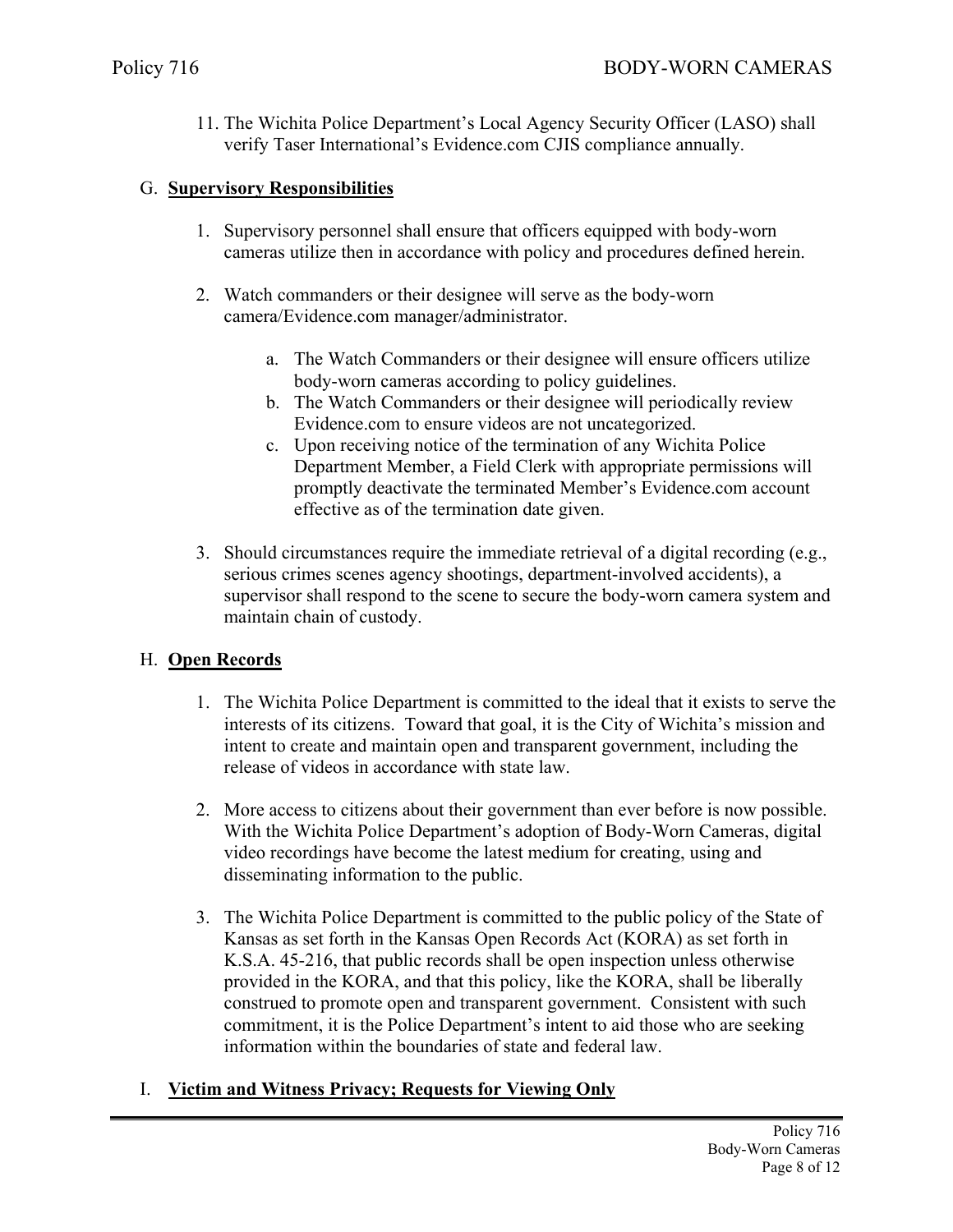11. The Wichita Police Department's Local Agency Security Officer (LASO) shall verify Taser International's Evidence.com CJIS compliance annually.

#### G. **Supervisory Responsibilities**

- 1. Supervisory personnel shall ensure that officers equipped with body-worn cameras utilize then in accordance with policy and procedures defined herein.
- 2. Watch commanders or their designee will serve as the body-worn camera/Evidence.com manager/administrator.
	- a. The Watch Commanders or their designee will ensure officers utilize body-worn cameras according to policy guidelines.
	- b. The Watch Commanders or their designee will periodically review Evidence.com to ensure videos are not uncategorized.
	- c. Upon receiving notice of the termination of any Wichita Police Department Member, a Field Clerk with appropriate permissions will promptly deactivate the terminated Member's Evidence.com account effective as of the termination date given.
- 3. Should circumstances require the immediate retrieval of a digital recording (e.g., serious crimes scenes agency shootings, department-involved accidents), a supervisor shall respond to the scene to secure the body-worn camera system and maintain chain of custody.

# H. **Open Records**

- 1. The Wichita Police Department is committed to the ideal that it exists to serve the interests of its citizens. Toward that goal, it is the City of Wichita's mission and intent to create and maintain open and transparent government, including the release of videos in accordance with state law.
- 2. More access to citizens about their government than ever before is now possible. With the Wichita Police Department's adoption of Body-Worn Cameras, digital video recordings have become the latest medium for creating, using and disseminating information to the public.
- 3. The Wichita Police Department is committed to the public policy of the State of Kansas as set forth in the Kansas Open Records Act (KORA) as set forth in K.S.A. 45-216, that public records shall be open inspection unless otherwise provided in the KORA, and that this policy, like the KORA, shall be liberally construed to promote open and transparent government. Consistent with such commitment, it is the Police Department's intent to aid those who are seeking information within the boundaries of state and federal law.

# I. **Victim and Witness Privacy; Requests for Viewing Only**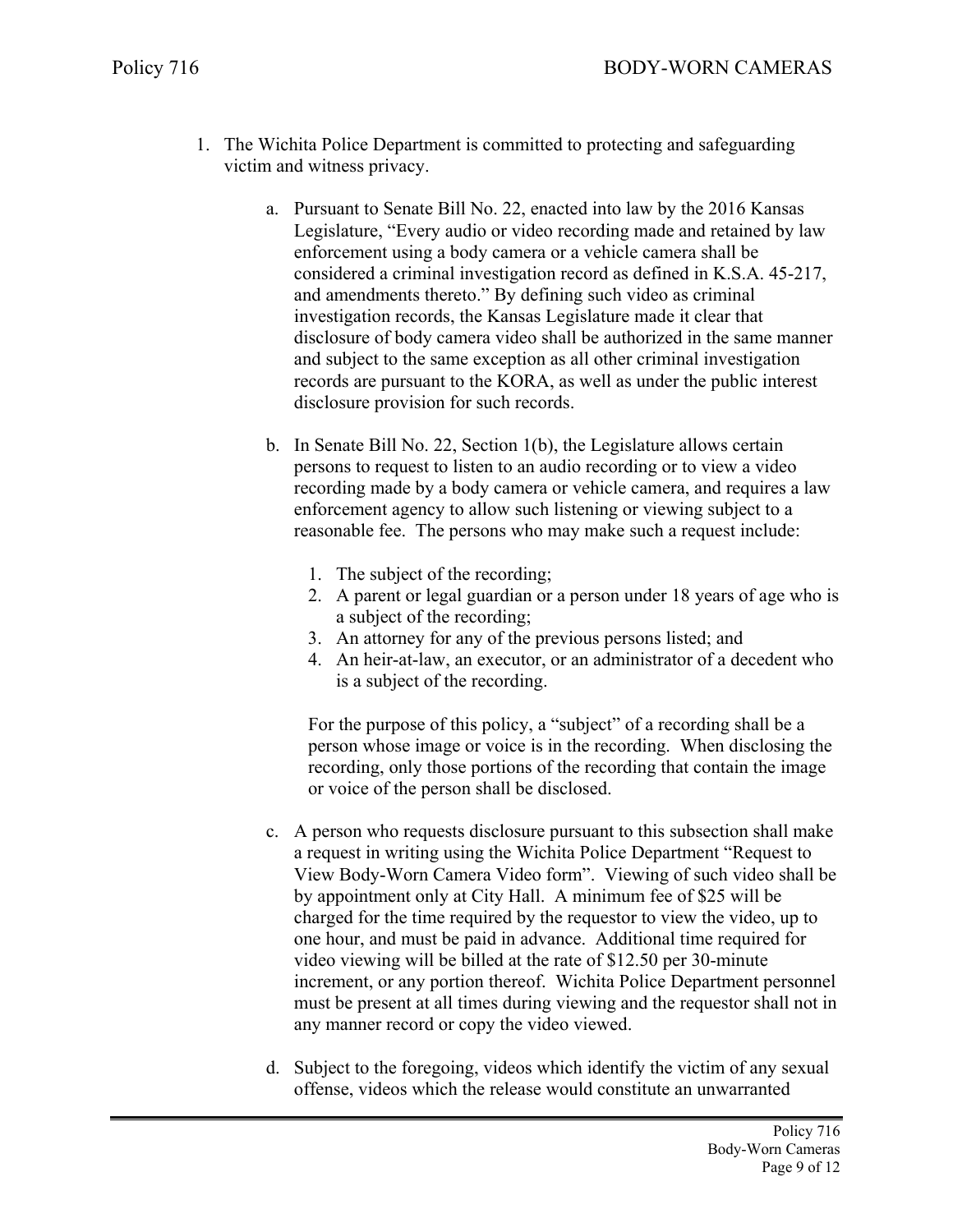- 1. The Wichita Police Department is committed to protecting and safeguarding victim and witness privacy.
	- a. Pursuant to Senate Bill No. 22, enacted into law by the 2016 Kansas Legislature, "Every audio or video recording made and retained by law enforcement using a body camera or a vehicle camera shall be considered a criminal investigation record as defined in K.S.A. 45-217, and amendments thereto." By defining such video as criminal investigation records, the Kansas Legislature made it clear that disclosure of body camera video shall be authorized in the same manner and subject to the same exception as all other criminal investigation records are pursuant to the KORA, as well as under the public interest disclosure provision for such records.
	- b. In Senate Bill No. 22, Section 1(b), the Legislature allows certain persons to request to listen to an audio recording or to view a video recording made by a body camera or vehicle camera, and requires a law enforcement agency to allow such listening or viewing subject to a reasonable fee. The persons who may make such a request include:
		- 1. The subject of the recording;
		- 2. A parent or legal guardian or a person under 18 years of age who is a subject of the recording;
		- 3. An attorney for any of the previous persons listed; and
		- 4. An heir-at-law, an executor, or an administrator of a decedent who is a subject of the recording.

For the purpose of this policy, a "subject" of a recording shall be a person whose image or voice is in the recording. When disclosing the recording, only those portions of the recording that contain the image or voice of the person shall be disclosed.

- c. A person who requests disclosure pursuant to this subsection shall make a request in writing using the Wichita Police Department "Request to View Body-Worn Camera Video form". Viewing of such video shall be by appointment only at City Hall. A minimum fee of \$25 will be charged for the time required by the requestor to view the video, up to one hour, and must be paid in advance. Additional time required for video viewing will be billed at the rate of \$12.50 per 30-minute increment, or any portion thereof. Wichita Police Department personnel must be present at all times during viewing and the requestor shall not in any manner record or copy the video viewed.
- d. Subject to the foregoing, videos which identify the victim of any sexual offense, videos which the release would constitute an unwarranted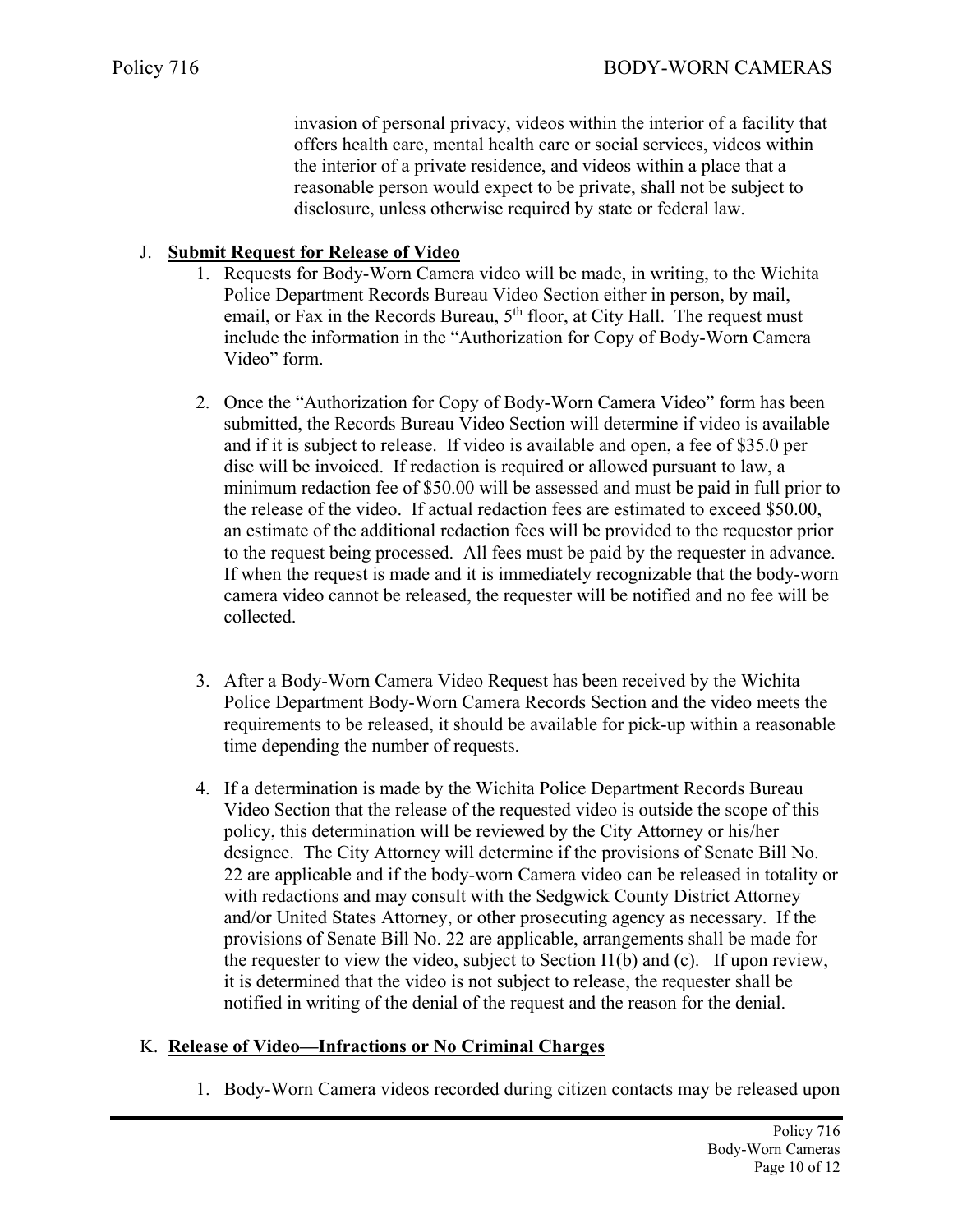invasion of personal privacy, videos within the interior of a facility that offers health care, mental health care or social services, videos within the interior of a private residence, and videos within a place that a reasonable person would expect to be private, shall not be subject to disclosure, unless otherwise required by state or federal law.

### J. **Submit Request for Release of Video**

- 1. Requests for Body-Worn Camera video will be made, in writing, to the Wichita Police Department Records Bureau Video Section either in person, by mail, email, or Fax in the Records Bureau,  $5<sup>th</sup>$  floor, at City Hall. The request must include the information in the "Authorization for Copy of Body-Worn Camera Video" form.
- 2. Once the "Authorization for Copy of Body-Worn Camera Video" form has been submitted, the Records Bureau Video Section will determine if video is available and if it is subject to release. If video is available and open, a fee of \$35.0 per disc will be invoiced. If redaction is required or allowed pursuant to law, a minimum redaction fee of \$50.00 will be assessed and must be paid in full prior to the release of the video. If actual redaction fees are estimated to exceed \$50.00, an estimate of the additional redaction fees will be provided to the requestor prior to the request being processed. All fees must be paid by the requester in advance. If when the request is made and it is immediately recognizable that the body-worn camera video cannot be released, the requester will be notified and no fee will be collected.
- 3. After a Body-Worn Camera Video Request has been received by the Wichita Police Department Body-Worn Camera Records Section and the video meets the requirements to be released, it should be available for pick-up within a reasonable time depending the number of requests.
- 4. If a determination is made by the Wichita Police Department Records Bureau Video Section that the release of the requested video is outside the scope of this policy, this determination will be reviewed by the City Attorney or his/her designee. The City Attorney will determine if the provisions of Senate Bill No. 22 are applicable and if the body-worn Camera video can be released in totality or with redactions and may consult with the Sedgwick County District Attorney and/or United States Attorney, or other prosecuting agency as necessary. If the provisions of Senate Bill No. 22 are applicable, arrangements shall be made for the requester to view the video, subject to Section  $I(1(b)$  and (c). If upon review, it is determined that the video is not subject to release, the requester shall be notified in writing of the denial of the request and the reason for the denial.

# K. **Release of Video—Infractions or No Criminal Charges**

1. Body-Worn Camera videos recorded during citizen contacts may be released upon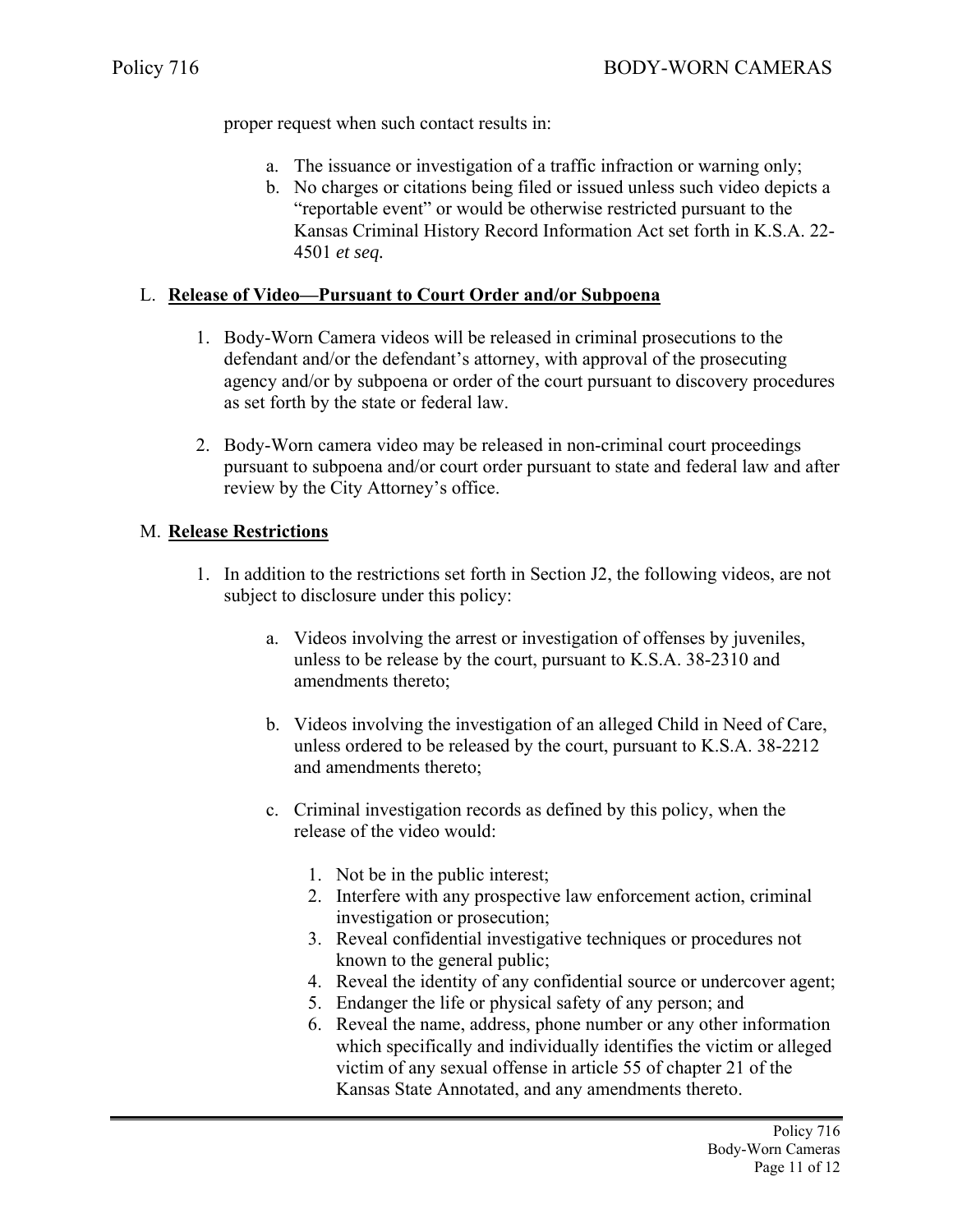proper request when such contact results in:

- a. The issuance or investigation of a traffic infraction or warning only;
- b. No charges or citations being filed or issued unless such video depicts a "reportable event" or would be otherwise restricted pursuant to the Kansas Criminal History Record Information Act set forth in K.S.A. 22- 4501 *et seq.*

# L. **Release of Video—Pursuant to Court Order and/or Subpoena**

- 1. Body-Worn Camera videos will be released in criminal prosecutions to the defendant and/or the defendant's attorney, with approval of the prosecuting agency and/or by subpoena or order of the court pursuant to discovery procedures as set forth by the state or federal law.
- 2. Body-Worn camera video may be released in non-criminal court proceedings pursuant to subpoena and/or court order pursuant to state and federal law and after review by the City Attorney's office.

# M. **Release Restrictions**

- 1. In addition to the restrictions set forth in Section J2, the following videos, are not subject to disclosure under this policy:
	- a. Videos involving the arrest or investigation of offenses by juveniles, unless to be release by the court, pursuant to K.S.A. 38-2310 and amendments thereto;
	- b. Videos involving the investigation of an alleged Child in Need of Care, unless ordered to be released by the court, pursuant to K.S.A. 38-2212 and amendments thereto;
	- c. Criminal investigation records as defined by this policy, when the release of the video would:
		- 1. Not be in the public interest;
		- 2. Interfere with any prospective law enforcement action, criminal investigation or prosecution;
		- 3. Reveal confidential investigative techniques or procedures not known to the general public;
		- 4. Reveal the identity of any confidential source or undercover agent;
		- 5. Endanger the life or physical safety of any person; and
		- 6. Reveal the name, address, phone number or any other information which specifically and individually identifies the victim or alleged victim of any sexual offense in article 55 of chapter 21 of the Kansas State Annotated, and any amendments thereto.